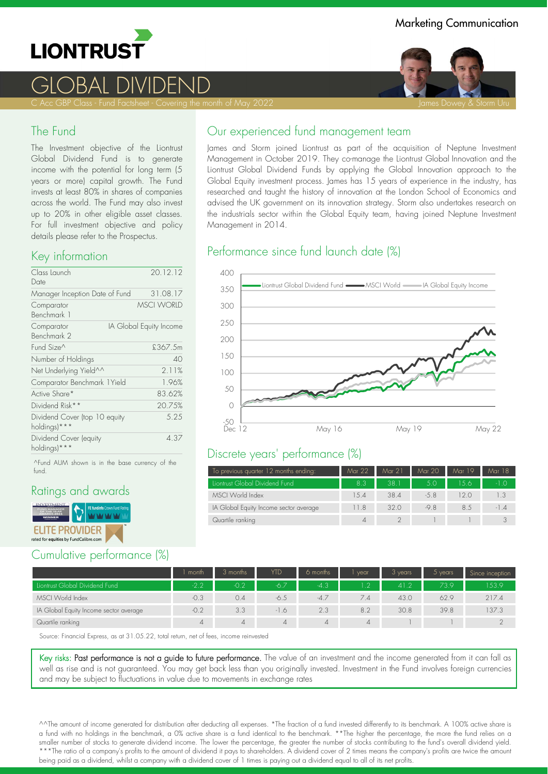

# GLOBAL DIVIDEND

C Acc GBP Class - Fund Factsheet - Covering the month of May 2022 James Dowey & Storm Uru James Dowey & Storm Uru

#### The Fund

The Investment objective of the Liontrust Global Dividend Fund is to generate income with the potential for long term (5 years or more) capital growth. The Fund invests at least 80% in shares of companies across the world. The Fund may also invest up to 20% in other eligible asset classes. For full investment objective and policy details please refer to the Prospectus.

#### Key information

| Class Launch                                  | 20.12.12                |
|-----------------------------------------------|-------------------------|
| Date                                          |                         |
| Manager Inception Date of Fund                | 31.08.17                |
| Comparator<br>Benchmark 1                     | <b>MSCI WORLD</b>       |
| Comparator<br>Benchmark 2                     | IA Global Equity Income |
| Fund Size^                                    | £367.5m                 |
| Number of Holdings                            | 40                      |
| Net Underlying Yield^^                        | 2.11%                   |
| Comparator Benchmark 1Yield                   | 1.96%                   |
| Active Share*                                 | 83.62%                  |
| Dividend Risk**                               | 20.75%                  |
| Dividend Cover (top 10 equity<br>holdings)*** | 5.25                    |
| Dividend Cover (equity<br>holdings)***        | 4.37                    |

^Fund AUM shown is in the base currency of the fund.

## Ratings and awards



## Cumulative performance (%)

James and Storm joined Liontrust as part of the acquisition of Neptune Investment Management in October 2019. They co-manage the Liontrust Global Innovation and the Liontrust Global Dividend Funds by applying the Global Innovation approach to the Global Equity investment process. James has 15 years of experience in the industry, has researched and taught the history of innovation at the London School of Economics and advised the UK government on its innovation strategy. Storm also undertakes research on the industrials sector within the Global Equity team, having joined Neptune Investment Management in 2014.

# Performance since fund launch date (%)



#### Discrete years' performance (%)

| To previous quarter 12 months ending:  | Mar 22      | Mar 21 | Mar 20 | Mar 19 | Mar 18 |
|----------------------------------------|-------------|--------|--------|--------|--------|
| Liontrust Global Dividend Fund         | 8.3         | 38.1   | 5.0    | 156    | $-1.0$ |
| MSCI World Index                       | 1.5.4       | 38.4   | $-5.8$ | 12 O   | 1.3    |
| IA Global Equity Income sector average | 11.8        | 320    | $-9.8$ | 8.5    | $-1.4$ |
| Quartile ranking                       | $\varDelta$ |        |        |        |        |

|                                        | month  | 3 months       | <b>YTD</b> | 6 months       | vear           | 3 years | $5$ years | Since inception |
|----------------------------------------|--------|----------------|------------|----------------|----------------|---------|-----------|-----------------|
| Liontrust Global Dividend Fund         | $-2.2$ | $-0.2$         | $-6.7$     | $-4.3$         | 1.2            | 41.2    | 73.9      | 153.9           |
| MSCI World Index                       | $-0.3$ | 0.4            | $-6.5$     | $-4.7$         | 7.4            | 43.0    | 62.9      | 217.4           |
| IA Global Equity Income sector average | $-0.2$ | 3.3            | $-1.6$     | 2.3            | 8.2            | 30.8    | 39.8      | 37.3            |
| Quartile ranking                       |        | $\overline{A}$ | $\Delta$   | $\overline{4}$ | $\overline{4}$ |         |           |                 |

Source: Financial Express, as at 31.05.22, total return, net of fees, income reinvested

Key risks: Past performance is not a guide to future performance. The value of an investment and the income generated from it can fall as well as rise and is not guaranteed. You may get back less than you originally invested. Investment in the Fund involves foreign currencies and may be subject to fluctuations in value due to movements in exchange rates

^^The amount of income generated for distribution after deducting all expenses. \*The fraction of a fund invested differently to its benchmark. A 100% active share is a fund with no holdings in the benchmark, a 0% active share is a fund identical to the benchmark. \*\*The higher the percentage, the more the fund relies on a smaller number of stocks to generate dividend income. The lower the percentage, the greater the number of stocks contributing to the fund's overall dividend yield. \*\*\*The ratio of a company's profits to the amount of dividend it pays to shareholders. A dividend cover of 2 times means the company's profits are twice the amount being paid as a dividend, whilst a company with a dividend cover of 1 times is paying out a dividend equal to all of its net profits.